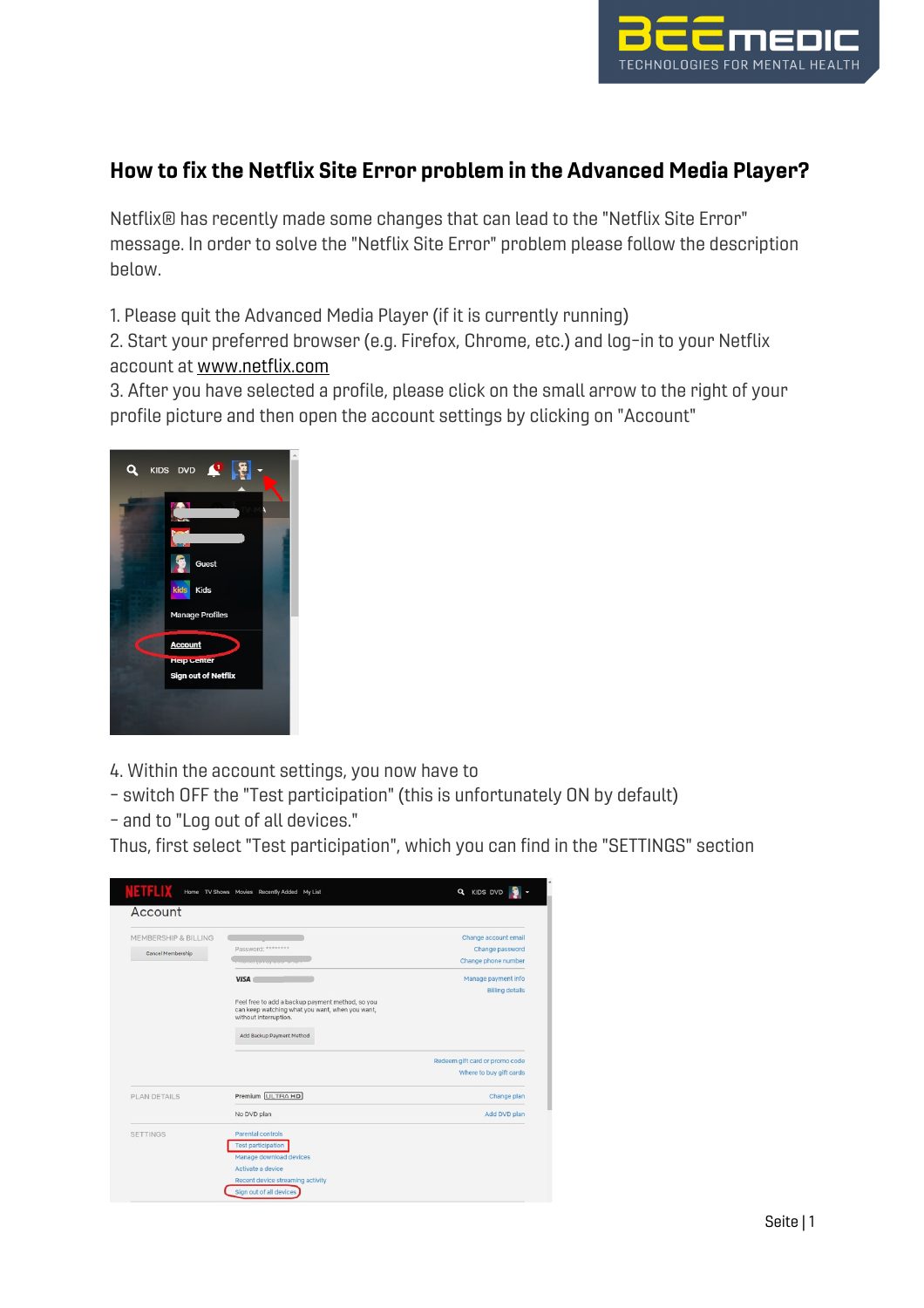

## How to fix the Netflix Site Error problem in the Advanced Media Player?

Netflix® has recently made some changes that can lead to the "Netflix Site Error" message. In order to solve the "Netflix Site Error" problem please follow the description below.

1. Please quit the Advanced Media Player (if it is currently running)

2. Start your preferred browser (e.g. Firefox, Chrome, etc.) and log-in to your Netflix account at www.netflix.com

3. After you have selected a profile, please click on the small arrow to the right of your profile picture and then open the account settings by clicking on "Account"



4. Within the account settings, you now have to

- switch OFF the "Test participation" (this is unfortunately ON by default)
- and to "Log out of all devices."

Thus, first select "Test participation", which you can find in the "SETTINGS" section